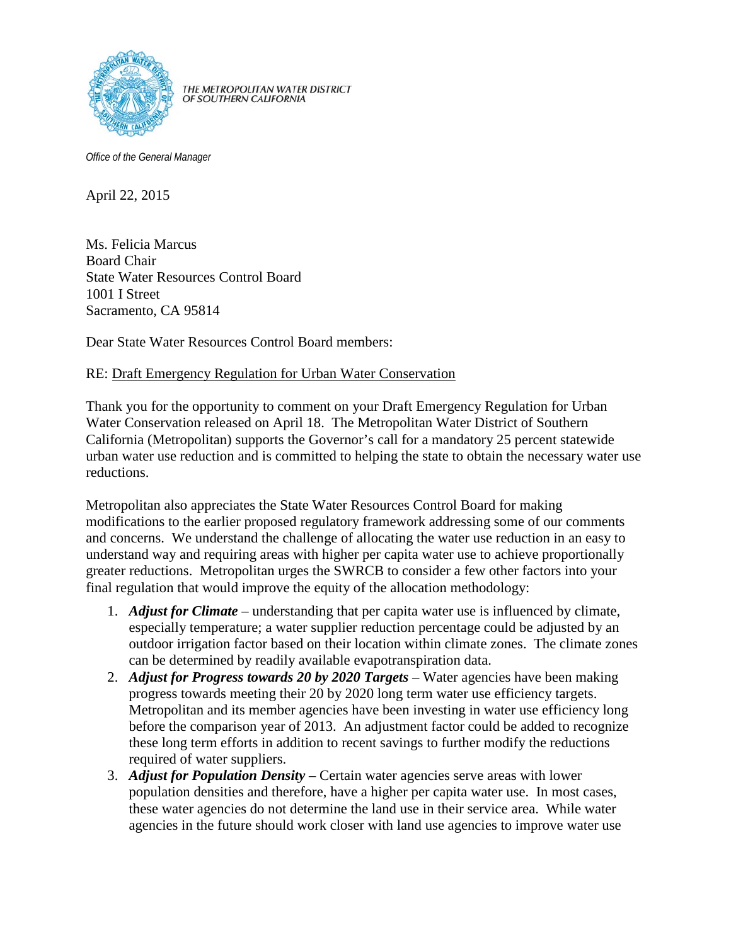

THE METROPOLITAN WATER DISTRICT<br>OF SOUTHERN CALIFORNIA

*Office of the General Manager*

April 22, 2015

Ms. Felicia Marcus Board Chair State Water Resources Control Board 1001 I Street Sacramento, CA 95814

Dear State Water Resources Control Board members:

## RE: Draft Emergency Regulation for Urban Water Conservation

Thank you for the opportunity to comment on your Draft Emergency Regulation for Urban Water Conservation released on April 18. The Metropolitan Water District of Southern California (Metropolitan) supports the Governor's call for a mandatory 25 percent statewide urban water use reduction and is committed to helping the state to obtain the necessary water use reductions.

Metropolitan also appreciates the State Water Resources Control Board for making modifications to the earlier proposed regulatory framework addressing some of our comments and concerns. We understand the challenge of allocating the water use reduction in an easy to understand way and requiring areas with higher per capita water use to achieve proportionally greater reductions. Metropolitan urges the SWRCB to consider a few other factors into your final regulation that would improve the equity of the allocation methodology:

- 1. *Adjust for Climate* understanding that per capita water use is influenced by climate, especially temperature; a water supplier reduction percentage could be adjusted by an outdoor irrigation factor based on their location within climate zones. The climate zones can be determined by readily available evapotranspiration data.
- 2. *Adjust for Progress towards 20 by 2020 Targets* Water agencies have been making progress towards meeting their 20 by 2020 long term water use efficiency targets. Metropolitan and its member agencies have been investing in water use efficiency long before the comparison year of 2013. An adjustment factor could be added to recognize these long term efforts in addition to recent savings to further modify the reductions required of water suppliers.
- 3. *Adjust for Population Density* Certain water agencies serve areas with lower population densities and therefore, have a higher per capita water use. In most cases, these water agencies do not determine the land use in their service area. While water agencies in the future should work closer with land use agencies to improve water use